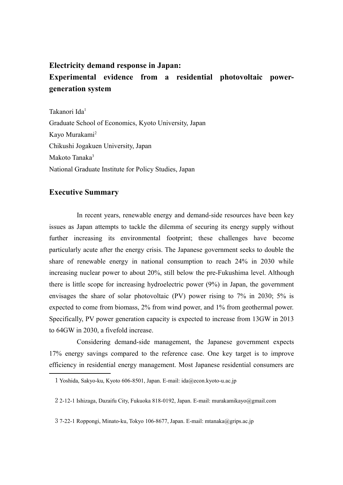## **Electricity demand response in Japan:**

## **Experimental evidence from a residential photovoltaic powergeneration system**

Takanori Ida<sup>[1](#page-0-0)</sup> Graduate School of Economics, Kyoto University, Japan Kayo Murakami[2](#page-0-1) Chikushi Jogakuen University, Japan Makoto Tanaka<sup>[3](#page-0-2)</sup> National Graduate Institute for Policy Studies, Japan

## **Executive Summary**

In recent years, renewable energy and demand-side resources have been key issues as Japan attempts to tackle the dilemma of securing its energy supply without further increasing its environmental footprint; these challenges have become particularly acute after the energy crisis. The Japanese government seeks to double the share of renewable energy in national consumption to reach 24% in 2030 while increasing nuclear power to about 20%, still below the pre-Fukushima level. Although there is little scope for increasing hydroelectric power (9%) in Japan, the government envisages the share of solar photovoltaic (PV) power rising to 7% in 2030; 5% is expected to come from biomass, 2% from wind power, and 1% from geothermal power. Specifically, PV power generation capacity is expected to increase from 13GW in 2013 to 64GW in 2030, a fivefold increase.

Considering demand-side management, the Japanese government expects 17% energy savings compared to the reference case. One key target is to improve efficiency in residential energy management. Most Japanese residential consumers are

<span id="page-0-0"></span><sup>1</sup> Yoshida, Sakyo-ku, Kyoto 606-8501, Japan. E-mail: ida@econ.kyoto-u.ac.jp

<span id="page-0-1"></span><sup>2</sup> 2-12-1 Ishizaga, Dazaifu City, Fukuoka 818-0192, Japan. E-mail: murakamikayo@gmail.com

<span id="page-0-2"></span><sup>3</sup> 7-22-1 Roppongi, Minato-ku, Tokyo 106-8677, Japan. E-mail: mtanaka@grips.ac.jp